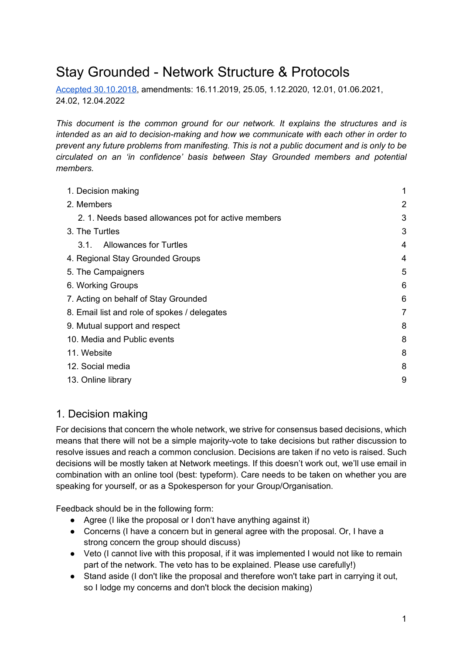# Stay Grounded - Network Structure & Protocols

[Accepted 30.10.2018,](https://docs.google.com/document/d/1kFoPemPqzOj602HufMgbhXG77mwEMkROPrely1A3mgs/edit?usp=sharing) amendments: 16.11.2019, 25.05, 1.12.2020, 12.01, 01.06.2021, 24.02, 12.04.2022

*This document is the common ground for our network. It explains the structures and is intended as an aid to decision-making and how we communicate with each other in order to prevent any future problems from manifesting. This is not a public document and is only to be circulated on an 'in confidence' basis between Stay Grounded members and potential members.*

| 1. Decision making                                 | 1 |
|----------------------------------------------------|---|
| 2. Members                                         | 2 |
| 2.1. Needs based allowances pot for active members | 3 |
| 3. The Turtles                                     | 3 |
| <b>Allowances for Turtles</b><br>3.1.              | 4 |
| 4. Regional Stay Grounded Groups                   | 4 |
| 5. The Campaigners                                 | 5 |
| 6. Working Groups                                  | 6 |
| 7. Acting on behalf of Stay Grounded               | 6 |
| 8. Email list and role of spokes / delegates       | 7 |
| 9. Mutual support and respect                      | 8 |
| 10. Media and Public events                        | 8 |
| 11. Website                                        | 8 |
| 12. Social media                                   | 8 |
| 13. Online library                                 | 9 |
|                                                    |   |

## <span id="page-0-0"></span>1. Decision making

For decisions that concern the whole network, we strive for consensus based decisions, which means that there will not be a simple majority-vote to take decisions but rather discussion to resolve issues and reach a common conclusion. Decisions are taken if no veto is raised. Such decisions will be mostly taken at Network meetings. If this doesn't work out, we'll use email in combination with an online tool (best: typeform). Care needs to be taken on whether you are speaking for yourself, or as a Spokesperson for your Group/Organisation.

Feedback should be in the following form:

- Agree (I like the proposal or I don't have anything against it)
- Concerns (I have a concern but in general agree with the proposal. Or, I have a strong concern the group should discuss)
- Veto (I cannot live with this proposal, if it was implemented I would not like to remain part of the network. The veto has to be explained. Please use carefully!)
- Stand aside (I don't like the proposal and therefore won't take part in carrying it out, so I lodge my concerns and don't block the decision making)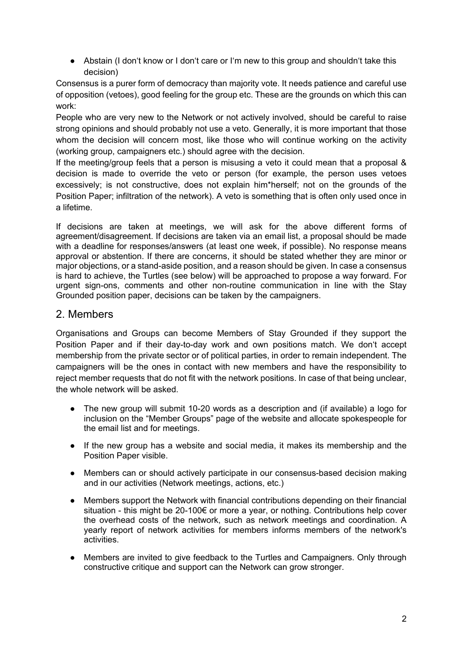● Abstain (I don't know or I don't care or I'm new to this group and shouldn't take this decision)

Consensus is a purer form of democracy than majority vote. It needs patience and careful use of opposition (vetoes), good feeling for the group etc. These are the grounds on which this can work:

People who are very new to the Network or not actively involved, should be careful to raise strong opinions and should probably not use a veto. Generally, it is more important that those whom the decision will concern most, like those who will continue working on the activity (working group, campaigners etc.) should agree with the decision.

If the meeting/group feels that a person is misusing a veto it could mean that a proposal & decision is made to override the veto or person (for example, the person uses vetoes excessively; is not constructive, does not explain him\*herself; not on the grounds of the Position Paper; infiltration of the network). A veto is something that is often only used once in a lifetime.

If decisions are taken at meetings, we will ask for the above different forms of agreement/disagreement. If decisions are taken via an email list, a proposal should be made with a deadline for responses/answers (at least one week, if possible). No response means approval or abstention. If there are concerns, it should be stated whether they are minor or major objections, or a stand-aside position, and a reason should be given. In case a consensus is hard to achieve, the Turtles (see below) will be approached to propose a way forward. For urgent sign-ons, comments and other non-routine communication in line with the Stay Grounded position paper, decisions can be taken by the campaigners.

#### <span id="page-1-0"></span>2. Members

Organisations and Groups can become Members of Stay Grounded if they support the Position Paper and if their day-to-day work and own positions match. We don't accept membership from the private sector or of political parties, in order to remain independent. The campaigners will be the ones in contact with new members and have the responsibility to reject member requests that do not fit with the network positions. In case of that being unclear, the whole network will be asked.

- The new group will submit 10-20 words as a description and (if available) a logo for inclusion on the "Member Groups" page of the website and allocate spokespeople for the email list and for meetings.
- If the new group has a website and social media, it makes its membership and the Position Paper visible.
- Members can or should actively participate in our consensus-based decision making and in our activities (Network meetings, actions, etc.)
- Members support the Network with financial contributions depending on their financial situation - this might be 20-100€ or more a year, or nothing. Contributions help cover the overhead costs of the network, such as network meetings and coordination. A yearly report of network activities for members informs members of the network's activities.
- Members are invited to give feedback to the Turtles and Campaigners. Only through constructive critique and support can the Network can grow stronger.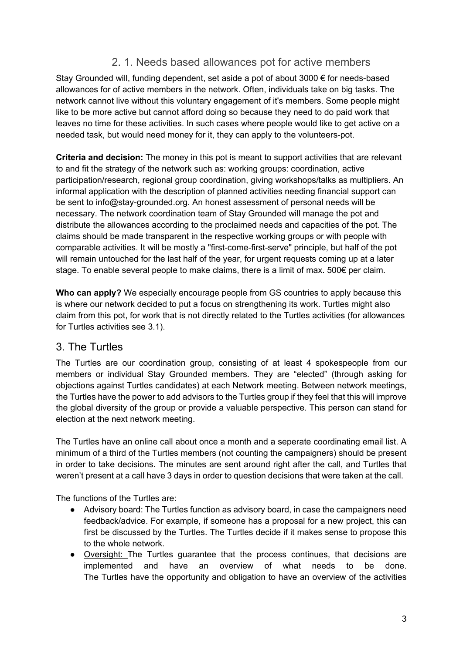## <span id="page-2-0"></span>2. 1. Needs based allowances pot for active members

Stay Grounded will, funding dependent, set aside a pot of about 3000 € for needs-based allowances for of active members in the network. Often, individuals take on big tasks. The network cannot live without this voluntary engagement of it's members. Some people might like to be more active but cannot afford doing so because they need to do paid work that leaves no time for these activities. In such cases where people would like to get active on a needed task, but would need money for it, they can apply to the volunteers-pot.

**Criteria and decision:** The money in this pot is meant to support activities that are relevant to and fit the strategy of the network such as: working groups: coordination, active participation/research, regional group coordination, giving workshops/talks as multipliers. An informal application with the description of planned activities needing financial support can be sent to [info@stay-grounded.org.](mailto:info@stay-grounded.org) An honest assessment of personal needs will be necessary. The network coordination team of Stay Grounded will manage the pot and distribute the allowances according to the proclaimed needs and capacities of the pot. The claims should be made transparent in the respective working groups or with people with comparable activities. It will be mostly a "first-come-first-serve" principle, but half of the pot will remain untouched for the last half of the year, for urgent requests coming up at a later stage. To enable several people to make claims, there is a limit of max. 500€ per claim.

**Who can apply?** We especially encourage people from GS countries to apply because this is where our network decided to put a focus on strengthening its work. Turtles might also claim from this pot, for work that is not directly related to the Turtles activities (for allowances for Turtles activities see 3.1).

#### <span id="page-2-1"></span>3. The Turtles

The Turtles are our coordination group, consisting of at least 4 spokespeople from our members or individual Stay Grounded members. They are "elected" (through asking for objections against Turtles candidates) at each Network meeting. Between network meetings, the Turtles have the power to add advisors to the Turtles group if they feel that this will improve the global diversity of the group or provide a valuable perspective. This person can stand for election at the next network meeting.

The Turtles have an online call about once a month and a seperate coordinating email list. A minimum of a third of the Turtles members (not counting the campaigners) should be present in order to take decisions. The minutes are sent around right after the call, and Turtles that weren't present at a call have 3 days in order to question decisions that were taken at the call.

The functions of the Turtles are:

- Advisory board: The Turtles function as advisory board, in case the campaigners need feedback/advice. For example, if someone has a proposal for a new project, this can first be discussed by the Turtles. The Turtles decide if it makes sense to propose this to the whole network.
- Oversight: The Turtles guarantee that the process continues, that decisions are implemented and have an overview of what needs to be done. The Turtles have the opportunity and obligation to have an overview of the activities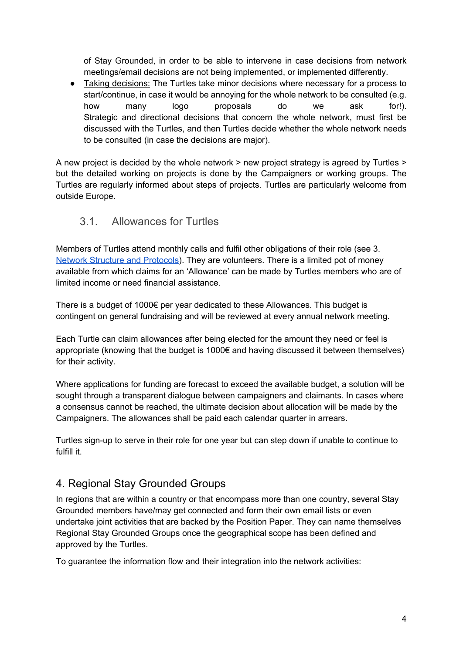of Stay Grounded, in order to be able to intervene in case decisions from network meetings/email decisions are not being implemented, or implemented differently.

● Taking decisions: The Turtles take minor decisions where necessary for a process to start/continue, in case it would be annoying for the whole network to be consulted (e.g. how many logo proposals do we ask for!). Strategic and directional decisions that concern the whole network, must first be discussed with the Turtles, and then Turtles decide whether the whole network needs to be consulted (in case the decisions are major).

A new project is decided by the whole network > new project strategy is agreed by Turtles > but the detailed working on projects is done by the Campaigners or working groups. The Turtles are regularly informed about steps of projects. Turtles are particularly welcome from outside Europe.

## <span id="page-3-0"></span>3.1. Allowances for Turtles

Members of Turtles attend monthly calls and fulfil other obligations of their role (see 3. [Network Structure and Protocols](https://stay-grounded.org/wp-content/uploads/2019/12/Network-Structure-Protocols.pdf)). They are volunteers. There is a limited pot of money available from which claims for an 'Allowance' can be made by Turtles members who are of limited income or need financial assistance.

There is a budget of 1000€ per year dedicated to these Allowances. This budget is contingent on general fundraising and will be reviewed at every annual network meeting.

Each Turtle can claim allowances after being elected for the amount they need or feel is appropriate (knowing that the budget is 1000€ and having discussed it between themselves) for their activity.

Where applications for funding are forecast to exceed the available budget, a solution will be sought through a transparent dialogue between campaigners and claimants. In cases where a consensus cannot be reached, the ultimate decision about allocation will be made by the Campaigners. The allowances shall be paid each calendar quarter in arrears.

Turtles sign-up to serve in their role for one year but can step down if unable to continue to fulfill it.

## <span id="page-3-1"></span>4. Regional Stay Grounded Groups

In regions that are within a country or that encompass more than one country, several Stay Grounded members have/may get connected and form their own email lists or even undertake joint activities that are backed by the Position Paper. They can name themselves Regional Stay Grounded Groups once the geographical scope has been defined and approved by the Turtles.

To guarantee the information flow and their integration into the network activities: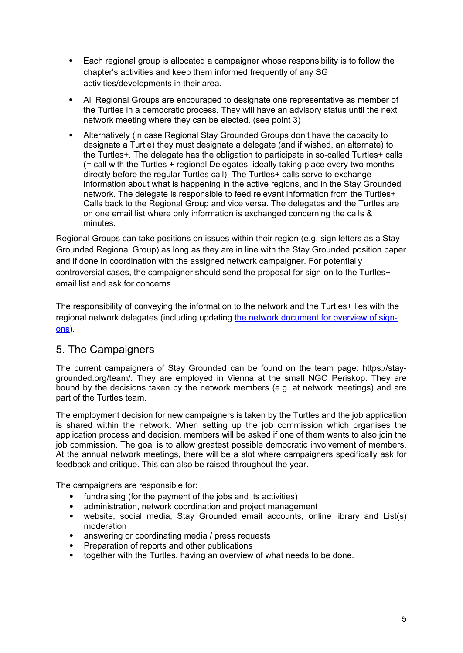- Each regional group is allocated a campaigner whose responsibility is to follow the chapter's activities and keep them informed frequently of any SG activities/developments in their area.
- All Regional Groups are encouraged to designate one representative as member of the Turtles in a democratic process. They will have an advisory status until the next network meeting where they can be elected. (see point 3)
- Alternatively (in case Regional Stay Grounded Groups don't have the capacity to designate a Turtle) they must designate a delegate (and if wished, an alternate) to the Turtles+. The delegate has the obligation to participate in so-called Turtles+ calls (= call with the Turtles + regional Delegates, ideally taking place every two months directly before the regular Turtles call). The Turtles+ calls serve to exchange information about what is happening in the active regions, and in the Stay Grounded network. The delegate is responsible to feed relevant information from the Turtles+ Calls back to the Regional Group and vice versa. The delegates and the Turtles are on one email list where only information is exchanged concerning the calls & minutes.

Regional Groups can take positions on issues within their region (e.g. sign letters as a Stay Grounded Regional Group) as long as they are in line with the Stay Grounded position paper and if done in coordination with the assigned network campaigner. For potentially controversial cases, the campaigner should send the proposal for sign-on to the Turtles+ email list and ask for concerns.

The responsibility of conveying the information to the network and the Turtles+ lies with the regional network delegates (including updating [the network document for overview of sign](https://cloud.stay-grounded.org/apps/onlyoffice/59055?filePath=%2FStay Grounded Members_Shared Cloud%2FActive Regions%2FSG_Letters_Petitions_Sign_Ons.xlsx)[ons\)](https://cloud.stay-grounded.org/apps/onlyoffice/59055?filePath=%2FStay Grounded Members_Shared Cloud%2FActive Regions%2FSG_Letters_Petitions_Sign_Ons.xlsx).

#### <span id="page-4-0"></span>5. The Campaigners

The current campaigners of Stay Grounded can be found on the team page: [https://stay](https://stay-grounded.org/team/)[grounded.org/team/.](https://stay-grounded.org/team/) They are employed in Vienna at the small NGO Periskop. They are bound by the decisions taken by the network members (e.g. at network meetings) and are part of the Turtles team.

The employment decision for new campaigners is taken by the Turtles and the job application is shared within the network. When setting up the job commission which organises the application process and decision, members will be asked if one of them wants to also join the job commission. The goal is to allow greatest possible democratic involvement of members. At the annual network meetings, there will be a slot where campaigners specifically ask for feedback and critique. This can also be raised throughout the year.

The campaigners are responsible for:

- fundraising (for the payment of the jobs and its activities)
- administration, network coordination and project management
- website, social media, Stay Grounded email accounts, online library and List(s) moderation
- answering or coordinating media / press requests
- Preparation of reports and other publications
- together with the Turtles, having an overview of what needs to be done.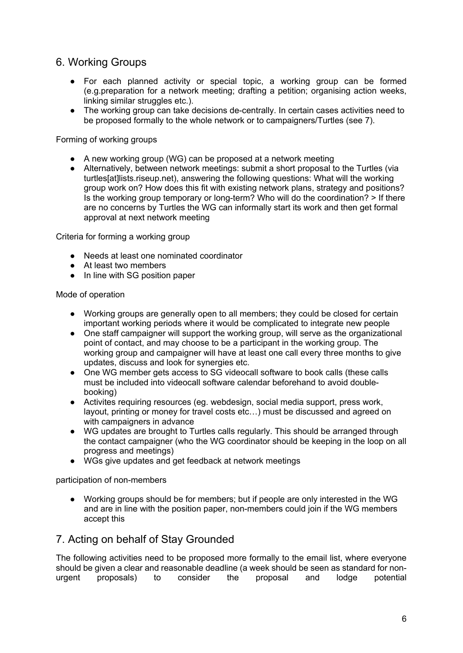## <span id="page-5-0"></span>6. Working Groups

- For each planned activity or special topic, a working group can be formed (e.g.preparation for a network meeting; drafting a petition; organising action weeks, linking similar struggles etc.).
- The working group can take decisions de-centrally. In certain cases activities need to be proposed formally to the whole network or to campaigners/Turtles (see 7).

Forming of working groups

- A new working group (WG) can be proposed at a network meeting
- Alternatively, between network meetings: submit a short proposal to the Turtles (via turtles[at]lists.riseup.net), answering the following questions: What will the working group work on? How does this fit with existing network plans, strategy and positions? Is the working group temporary or long-term? Who will do the coordination? > If there are no concerns by Turtles the WG can informally start its work and then get formal approval at next network meeting

Criteria for forming a working group

- Needs at least one nominated coordinator
- At least two members
- In line with SG position paper

#### Mode of operation

- Working groups are generally open to all members; they could be closed for certain important working periods where it would be complicated to integrate new people
- One staff campaigner will support the working group, will serve as the organizational point of contact, and may choose to be a participant in the working group. The working group and campaigner will have at least one call every three months to give updates, discuss and look for synergies etc.
- One WG member gets access to SG videocall software to book calls (these calls must be included into videocall software calendar beforehand to avoid doublebooking)
- Activites requiring resources (eg. webdesign, social media support, press work, layout, printing or money for travel costs etc…) must be discussed and agreed on with campaigners in advance
- WG updates are brought to Turtles calls regularly. This should be arranged through the contact campaigner (who the WG coordinator should be keeping in the loop on all progress and meetings)
- WGs give updates and get feedback at network meetings

participation of non-members

● Working groups should be for members; but if people are only interested in the WG and are in line with the position paper, non-members could join if the WG members accept this

#### <span id="page-5-1"></span>7. Acting on behalf of Stay Grounded

The following activities need to be proposed more formally to the email list, where everyone should be given a clear and reasonable deadline (a week should be seen as standard for nonurgent proposals) to consider the proposal and lodge potential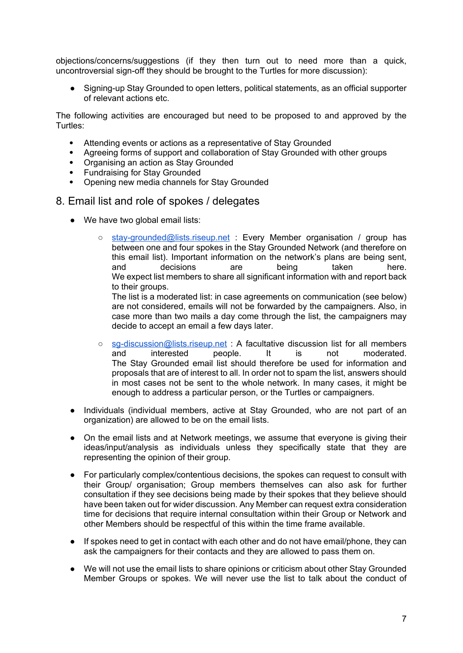objections/concerns/suggestions (if they then turn out to need more than a quick, uncontroversial sign-off they should be brought to the Turtles for more discussion):

● Signing-up Stay Grounded to open letters, political statements, as an official supporter of relevant actions etc.

The following activities are encouraged but need to be proposed to and approved by the Turtles:

- Attending events or actions as a representative of Stay Grounded
- Agreeing forms of support and collaboration of Stay Grounded with other groups
- Organising an action as Stay Grounded
- Fundraising for Stay Grounded
- Opening new media channels for Stay Grounded
- <span id="page-6-0"></span>8. Email list and role of spokes / delegates
	- We have two global email lists:
		- o [stay-grounded@lists.riseup.net](mailto:stay-grounded@lists.riseup.net) : Every Member organisation / group has between one and four spokes in the Stay Grounded Network (and therefore on this email list). Important information on the network's plans are being sent,<br>and decisions are being taken here. decisions are being taken here. We expect list members to share all significant information with and report back to their groups.

The list is a moderated list: in case agreements on communication (see below) are not considered, emails will not be forwarded by the campaigners. Also, in case more than two mails a day come through the list, the campaigners may decide to accept an email a few days later.

- sq-discussion@lists.riseup.net : A facultative discussion list for all members and interested people. It is not moderated. The Stay Grounded email list should therefore be used for information and proposals that are of interest to all. In order not to spam the list, answers should in most cases not be sent to the whole network. In many cases, it might be enough to address a particular person, or the Turtles or campaigners.
- Individuals (individual members, active at Stay Grounded, who are not part of an organization) are allowed to be on the email lists.
- On the email lists and at Network meetings, we assume that everyone is giving their ideas/input/analysis as individuals unless they specifically state that they are representing the opinion of their group.
- For particularly complex/contentious decisions, the spokes can request to consult with their Group/ organisation; Group members themselves can also ask for further consultation if they see decisions being made by their spokes that they believe should have been taken out for wider discussion. Any Member can request extra consideration time for decisions that require internal consultation within their Group or Network and other Members should be respectful of this within the time frame available.
- If spokes need to get in contact with each other and do not have email/phone, they can ask the campaigners for their contacts and they are allowed to pass them on.
- We will not use the email lists to share opinions or criticism about other Stay Grounded Member Groups or spokes. We will never use the list to talk about the conduct of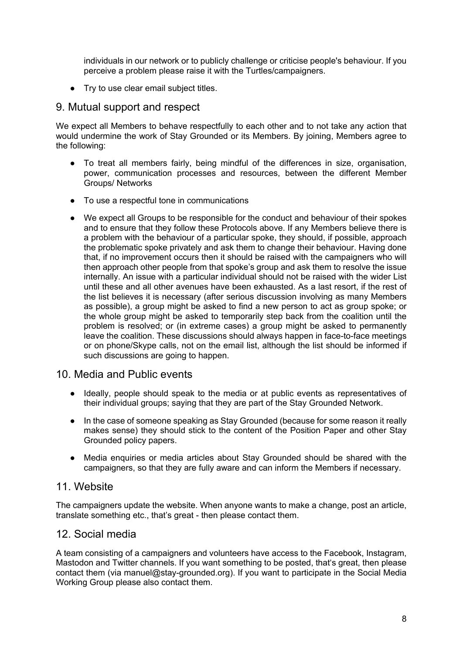individuals in our network or to publicly challenge or criticise people's behaviour. If you perceive a problem please raise it with the Turtles/campaigners.

● Try to use clear email subject titles.

#### <span id="page-7-0"></span>9. Mutual support and respect

We expect all Members to behave respectfully to each other and to not take any action that would undermine the work of Stay Grounded or its Members. By joining, Members agree to the following:

- To treat all members fairly, being mindful of the differences in size, organisation, power, communication processes and resources, between the different Member Groups/ Networks
- To use a respectful tone in communications
- We expect all Groups to be responsible for the conduct and behaviour of their spokes and to ensure that they follow these Protocols above. If any Members believe there is a problem with the behaviour of a particular spoke, they should, if possible, approach the problematic spoke privately and ask them to change their behaviour. Having done that, if no improvement occurs then it should be raised with the campaigners who will then approach other people from that spoke's group and ask them to resolve the issue internally. An issue with a particular individual should not be raised with the wider List until these and all other avenues have been exhausted. As a last resort, if the rest of the list believes it is necessary (after serious discussion involving as many Members as possible), a group might be asked to find a new person to act as group spoke; or the whole group might be asked to temporarily step back from the coalition until the problem is resolved; or (in extreme cases) a group might be asked to permanently leave the coalition. These discussions should always happen in face-to-face meetings or on phone/Skype calls, not on the email list, although the list should be informed if such discussions are going to happen.

#### <span id="page-7-1"></span>10. Media and Public events

- Ideally, people should speak to the media or at public events as representatives of their individual groups; saying that they are part of the Stay Grounded Network.
- In the case of someone speaking as Stay Grounded (because for some reason it really makes sense) they should stick to the content of the Position Paper and other Stay Grounded policy papers.
- Media enquiries or media articles about Stay Grounded should be shared with the campaigners, so that they are fully aware and can inform the Members if necessary.

#### <span id="page-7-2"></span>11. Website

The campaigners update the website. When anyone wants to make a change, post an article, translate something etc., that's great - then please contact them.

#### <span id="page-7-3"></span>12. Social media

A team consisting of a campaigners and volunteers have access to the Facebook, Instagram, Mastodon and Twitter channels. If you want something to be posted, that's great, then please contact them (via manuel@stay-grounded.org). If you want to participate in the Social Media Working Group please also contact them.